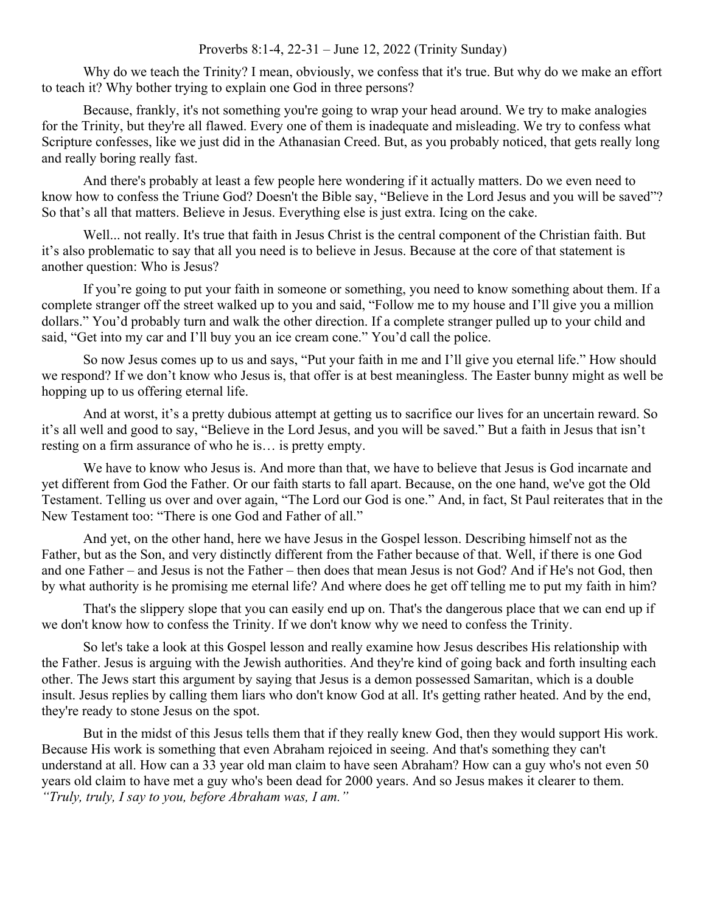## Proverbs 8:1-4, 22-31 – June 12, 2022 (Trinity Sunday)

Why do we teach the Trinity? I mean, obviously, we confess that it's true. But why do we make an effort to teach it? Why bother trying to explain one God in three persons?

Because, frankly, it's not something you're going to wrap your head around. We try to make analogies for the Trinity, but they're all flawed. Every one of them is inadequate and misleading. We try to confess what Scripture confesses, like we just did in the Athanasian Creed. But, as you probably noticed, that gets really long and really boring really fast.

And there's probably at least a few people here wondering if it actually matters. Do we even need to know how to confess the Triune God? Doesn't the Bible say, "Believe in the Lord Jesus and you will be saved"? So that's all that matters. Believe in Jesus. Everything else is just extra. Icing on the cake.

Well... not really. It's true that faith in Jesus Christ is the central component of the Christian faith. But it's also problematic to say that all you need is to believe in Jesus. Because at the core of that statement is another question: Who is Jesus?

If you're going to put your faith in someone or something, you need to know something about them. If a complete stranger off the street walked up to you and said, "Follow me to my house and I'll give you a million dollars." You'd probably turn and walk the other direction. If a complete stranger pulled up to your child and said, "Get into my car and I'll buy you an ice cream cone." You'd call the police.

So now Jesus comes up to us and says, "Put your faith in me and I'll give you eternal life." How should we respond? If we don't know who Jesus is, that offer is at best meaningless. The Easter bunny might as well be hopping up to us offering eternal life.

And at worst, it's a pretty dubious attempt at getting us to sacrifice our lives for an uncertain reward. So it's all well and good to say, "Believe in the Lord Jesus, and you will be saved." But a faith in Jesus that isn't resting on a firm assurance of who he is… is pretty empty.

We have to know who Jesus is. And more than that, we have to believe that Jesus is God incarnate and yet different from God the Father. Or our faith starts to fall apart. Because, on the one hand, we've got the Old Testament. Telling us over and over again, "The Lord our God is one." And, in fact, St Paul reiterates that in the New Testament too: "There is one God and Father of all."

And yet, on the other hand, here we have Jesus in the Gospel lesson. Describing himself not as the Father, but as the Son, and very distinctly different from the Father because of that. Well, if there is one God and one Father – and Jesus is not the Father – then does that mean Jesus is not God? And if He's not God, then by what authority is he promising me eternal life? And where does he get off telling me to put my faith in him?

That's the slippery slope that you can easily end up on. That's the dangerous place that we can end up if we don't know how to confess the Trinity. If we don't know why we need to confess the Trinity.

So let's take a look at this Gospel lesson and really examine how Jesus describes His relationship with the Father. Jesus is arguing with the Jewish authorities. And they're kind of going back and forth insulting each other. The Jews start this argument by saying that Jesus is a demon possessed Samaritan, which is a double insult. Jesus replies by calling them liars who don't know God at all. It's getting rather heated. And by the end, they're ready to stone Jesus on the spot.

But in the midst of this Jesus tells them that if they really knew God, then they would support His work. Because His work is something that even Abraham rejoiced in seeing. And that's something they can't understand at all. How can a 33 year old man claim to have seen Abraham? How can a guy who's not even 50 years old claim to have met a guy who's been dead for 2000 years. And so Jesus makes it clearer to them. *"Truly, truly, I say to you, before Abraham was, I am."*